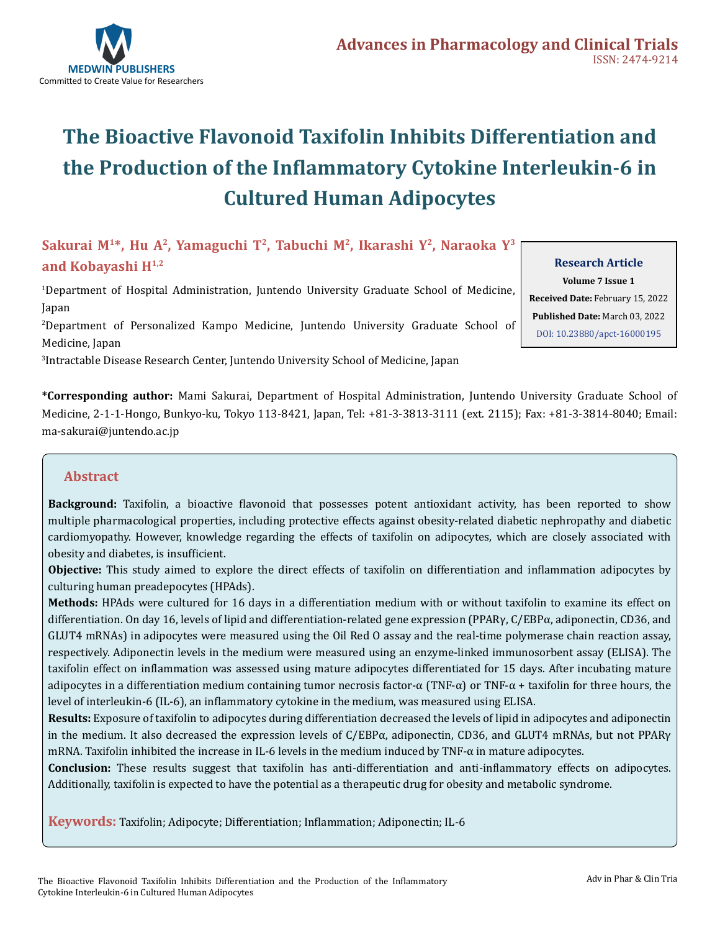

# **The Bioactive Flavonoid Taxifolin Inhibits Differentiation and the Production of the Inflammatory Cytokine Interleukin-6 in Cultured Human Adipocytes**

### **Sakurai M1\*, Hu A2, Yamaguchi T2, Tabuchi M<sup>2</sup>, Ikarashi Y<sup>2</sup>, Naraoka Y<sup>3</sup> and Kobayashi H1,2**

1 Department of Hospital Administration, Juntendo University Graduate School of Medicine, Japan

2 Department of Personalized Kampo Medicine, Juntendo University Graduate School of Medicine, Japan

3 Intractable Disease Research Center, Juntendo University School of Medicine, Japan

**\*Corresponding author:** Mami Sakurai, Department of Hospital Administration, Juntendo University Graduate School of Medicine, 2-1-1-Hongo, Bunkyo-ku, Tokyo 113-8421, Japan, Tel: +81-3-3813-3111 (ext. 2115); Fax: +81-3-3814-8040; Email: ma-sakurai@juntendo.ac.jp

#### **Abstract**

**Background:** Taxifolin, a bioactive flavonoid that possesses potent antioxidant activity, has been reported to show multiple pharmacological properties, including protective effects against obesity-related diabetic nephropathy and diabetic cardiomyopathy. However, knowledge regarding the effects of taxifolin on adipocytes, which are closely associated with obesity and diabetes, is insufficient.

**Objective:** This study aimed to explore the direct effects of taxifolin on differentiation and inflammation adipocytes by culturing human preadepocytes (HPAds).

**Methods:** HPAds were cultured for 16 days in a differentiation medium with or without taxifolin to examine its effect on differentiation. On day 16, levels of lipid and differentiation-related gene expression (PPARγ, C/EBPα, adiponectin, CD36, and GLUT4 mRNAs) in adipocytes were measured using the Oil Red O assay and the real-time polymerase chain reaction assay, respectively. Adiponectin levels in the medium were measured using an enzyme-linked immunosorbent assay (ELISA). The taxifolin effect on inflammation was assessed using mature adipocytes differentiated for 15 days. After incubating mature adipocytes in a differentiation medium containing tumor necrosis factor-α (TNF-α) or TNF-α + taxifolin for three hours, the level of interleukin-6 (IL-6), an inflammatory cytokine in the medium, was measured using ELISA.

**Results:** Exposure of taxifolin to adipocytes during differentiation decreased the levels of lipid in adipocytes and adiponectin in the medium. It also decreased the expression levels of C/EBPα, adiponectin, CD36, and GLUT4 mRNAs, but not PPARγ mRNA. Taxifolin inhibited the increase in IL-6 levels in the medium induced by TNF-α in mature adipocytes.

**Conclusion:** These results suggest that taxifolin has anti-differentiation and anti-inflammatory effects on adipocytes. Additionally, taxifolin is expected to have the potential as a therapeutic drug for obesity and metabolic syndrome.

**Keywords:** Taxifolin; Adipocyte; Differentiation; Inflammation; Adiponectin; IL-6

**Research Article Volume 7 Issue 1 Received Date:** February 15, 2022 **Published Date:** March 03, 2022 [DOI: 10.23880/apct-16000195](https://doi.org/10.23880/apct-16000195)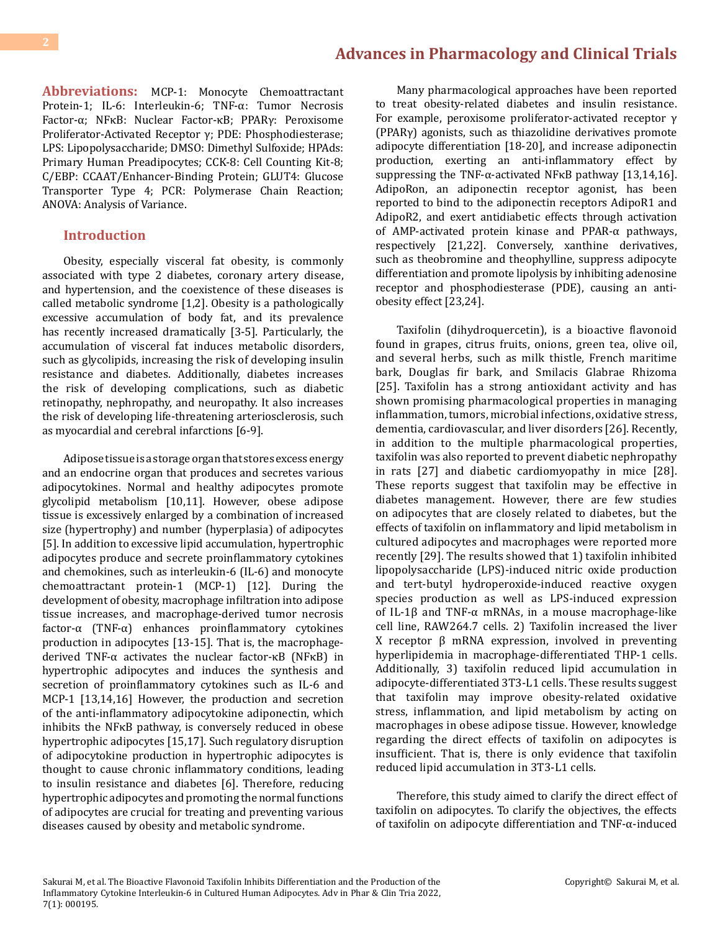**Abbreviations:** MCP-1: Monocyte Chemoattractant Protein-1; IL-6: Interleukin-6; TNF-α: Tumor Necrosis Factor-α; NFκB: Nuclear Factor-κB; PPARγ: Peroxisome Proliferator-Activated Receptor γ; PDE: Phosphodiesterase; LPS: Lipopolysaccharide; DMSO: Dimethyl Sulfoxide; HPAds: Primary Human Preadipocytes; CCK-8: Cell Counting Kit-8; C/EBP: CCAAT/Enhancer-Binding Protein; GLUT4: Glucose Transporter Type 4; PCR: Polymerase Chain Reaction; ANOVA: Analysis of Variance.

#### **Introduction**

Obesity, especially visceral fat obesity, is commonly associated with type 2 diabetes, coronary artery disease, and hypertension, and the coexistence of these diseases is called metabolic syndrome [1,2]. Obesity is a pathologically excessive accumulation of body fat, and its prevalence has recently increased dramatically [3-5]. Particularly, the accumulation of visceral fat induces metabolic disorders, such as glycolipids, increasing the risk of developing insulin resistance and diabetes. Additionally, diabetes increases the risk of developing complications, such as diabetic retinopathy, nephropathy, and neuropathy. It also increases the risk of developing life-threatening arteriosclerosis, such as myocardial and cerebral infarctions [6-9].

Adipose tissue is a storage organ that stores excess energy and an endocrine organ that produces and secretes various adipocytokines. Normal and healthy adipocytes promote glycolipid metabolism [10,11]. However, obese adipose tissue is excessively enlarged by a combination of increased size (hypertrophy) and number (hyperplasia) of adipocytes [5]. In addition to excessive lipid accumulation, hypertrophic adipocytes produce and secrete proinflammatory cytokines and chemokines, such as interleukin-6 (IL-6) and monocyte chemoattractant protein-1 (MCP-1) [12]. During the development of obesity, macrophage infiltration into adipose tissue increases, and macrophage-derived tumor necrosis factor- $\alpha$  (TNF- $\alpha$ ) enhances proinflammatory cytokines production in adipocytes [13-15]. That is, the macrophagederived TNF-α activates the nuclear factor-κB (NFκB) in hypertrophic adipocytes and induces the synthesis and secretion of proinflammatory cytokines such as IL-6 and MCP-1 [13,14,16] However, the production and secretion of the anti-inflammatory adipocytokine adiponectin, which inhibits the NFκB pathway, is conversely reduced in obese hypertrophic adipocytes [15,17]. Such regulatory disruption of adipocytokine production in hypertrophic adipocytes is thought to cause chronic inflammatory conditions, leading to insulin resistance and diabetes [6]. Therefore, reducing hypertrophic adipocytes and promoting the normal functions of adipocytes are crucial for treating and preventing various diseases caused by obesity and metabolic syndrome.

Many pharmacological approaches have been reported to treat obesity-related diabetes and insulin resistance. For example, peroxisome proliferator-activated receptor γ (PPARγ) agonists, such as thiazolidine derivatives promote adipocyte differentiation [18-20], and increase adiponectin production, exerting an anti-inflammatory effect by suppressing the TNF-α-activated NFκB pathway [13,14,16]. AdipoRon, an adiponectin receptor agonist, has been reported to bind to the adiponectin receptors AdipoR1 and AdipoR2, and exert antidiabetic effects through activation of AMP-activated protein kinase and PPAR-α pathways, respectively [21,22]. Conversely, xanthine derivatives, such as theobromine and theophylline, suppress adipocyte differentiation and promote lipolysis by inhibiting adenosine receptor and phosphodiesterase (PDE), causing an antiobesity effect [23,24].

Taxifolin (dihydroquercetin), is a bioactive flavonoid found in grapes, citrus fruits, onions, green tea, olive oil, and several herbs, such as milk thistle, French maritime bark, Douglas fir bark, and Smilacis Glabrae Rhizoma [25]. Taxifolin has a strong antioxidant activity and has shown promising pharmacological properties in managing inflammation, tumors, microbial infections, oxidative stress, dementia, cardiovascular, and liver disorders [26]. Recently, in addition to the multiple pharmacological properties, taxifolin was also reported to prevent diabetic nephropathy in rats [27] and diabetic cardiomyopathy in mice [28]. These reports suggest that taxifolin may be effective in diabetes management. However, there are few studies on adipocytes that are closely related to diabetes, but the effects of taxifolin on inflammatory and lipid metabolism in cultured adipocytes and macrophages were reported more recently [29]. The results showed that 1) taxifolin inhibited lipopolysaccharide (LPS)-induced nitric oxide production and tert-butyl hydroperoxide-induced reactive oxygen species production as well as LPS-induced expression of IL-1β and TNF-α mRNAs, in a mouse macrophage-like cell line, RAW264.7 cells. 2) Taxifolin increased the liver X receptor β mRNA expression, involved in preventing hyperlipidemia in macrophage-differentiated THP-1 cells. Additionally, 3) taxifolin reduced lipid accumulation in adipocyte-differentiated 3T3-L1 cells. These results suggest that taxifolin may improve obesity-related oxidative stress, inflammation, and lipid metabolism by acting on macrophages in obese adipose tissue. However, knowledge regarding the direct effects of taxifolin on adipocytes is insufficient. That is, there is only evidence that taxifolin reduced lipid accumulation in 3T3-L1 cells.

Therefore, this study aimed to clarify the direct effect of taxifolin on adipocytes. To clarify the objectives, the effects of taxifolin on adipocyte differentiation and TNF-α-induced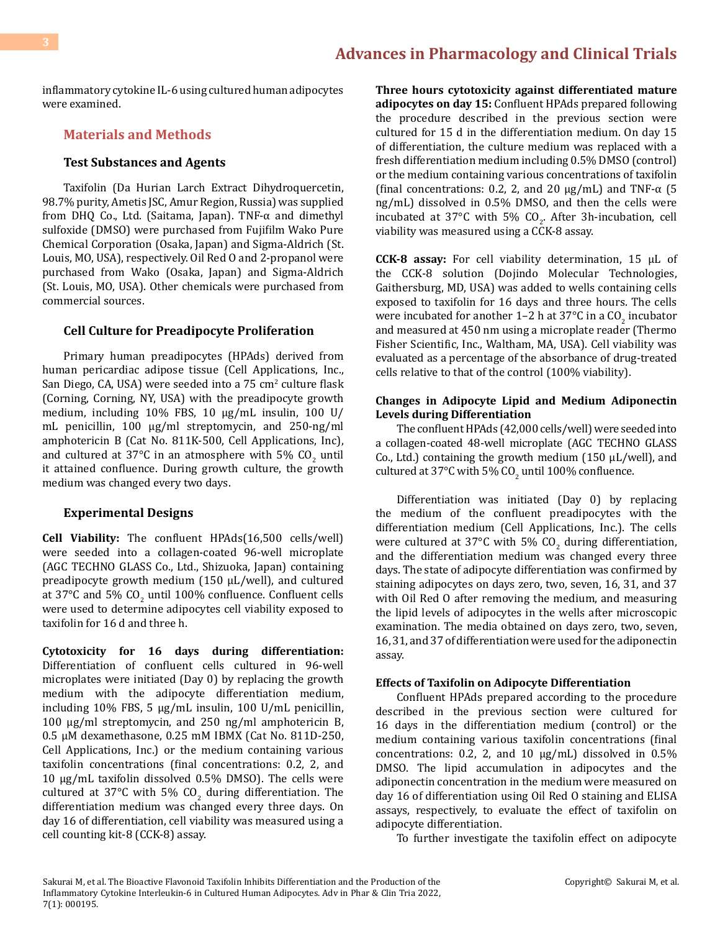inflammatory cytokine IL-6 using cultured human adipocytes were examined.

#### **Materials and Methods**

#### **Test Substances and Agents**

Taxifolin (Da Hurian Larch Extract Dihydroquercetin, 98.7% purity, Ametis JSC, Amur Region, Russia) was supplied from DHQ Co., Ltd. (Saitama, Japan). TNF-α and dimethyl sulfoxide (DMSO) were purchased from Fujifilm Wako Pure Chemical Corporation (Osaka, Japan) and Sigma-Aldrich (St. Louis, MO, USA), respectively. Oil Red O and 2-propanol were purchased from Wako (Osaka, Japan) and Sigma-Aldrich (St. Louis, MO, USA). Other chemicals were purchased from commercial sources.

#### **Cell Culture for Preadipocyte Proliferation**

Primary human preadipocytes (HPAds) derived from human pericardiac adipose tissue (Cell Applications, Inc., San Diego, CA, USA) were seeded into a 75 cm<sup>2</sup> culture flask (Corning, Corning, NY, USA) with the preadipocyte growth medium, including 10% FBS, 10 μg/mL insulin, 100 U/ mL penicillin, 100 μg/ml streptomycin, and 250-ng/ml amphotericin B (Cat No. 811K-500, Cell Applications, Inc), and cultured at 37 $^{\circ}$ C in an atmosphere with 5% CO<sub>2</sub> until it attained confluence. During growth culture, the growth medium was changed every two days.

#### **Experimental Designs**

**Cell Viability:** The confluent HPAds(16,500 cells/well) were seeded into a collagen-coated 96-well microplate (AGC TECHNO GLASS Co., Ltd., Shizuoka, Japan) containing preadipocyte growth medium (150 μL/well), and cultured at 37°C and 5%  $CO_2$  until 100% confluence. Confluent cells were used to determine adipocytes cell viability exposed to taxifolin for 16 d and three h.

**Cytotoxicity for 16 days during differentiation:** Differentiation of confluent cells cultured in 96-well microplates were initiated (Day 0) by replacing the growth medium with the adipocyte differentiation medium, including 10% FBS, 5 μg/mL insulin, 100 U/mL penicillin, 100 μg/ml streptomycin, and 250 ng/ml amphotericin B, 0.5 μM dexamethasone, 0.25 mM IBMX (Cat No. 811D-250, Cell Applications, Inc.) or the medium containing various taxifolin concentrations (final concentrations: 0.2, 2, and 10 µg/mL taxifolin dissolved 0.5% DMSO). The cells were cultured at 37°C with 5%  $CO<sub>2</sub>$  during differentiation. The differentiation medium was changed every three days. On day 16 of differentiation, cell viability was measured using a cell counting kit-8 (CCK-8) assay.

**Three hours cytotoxicity against differentiated mature adipocytes on day 15:** Confluent HPAds prepared following the procedure described in the previous section were cultured for 15 d in the differentiation medium. On day 15 of differentiation, the culture medium was replaced with a fresh differentiation medium including 0.5% DMSO (control) or the medium containing various concentrations of taxifolin (final concentrations: 0.2, 2, and 20  $\mu$ g/mL) and TNF- $\alpha$  (5 ng/mL) dissolved in 0.5% DMSO, and then the cells were incubated at 37°C with 5%  $CO<sub>2</sub>$ . After 3h-incubation, cell viability was measured using a CCK-8 assay.

**CCK-8 assay:** For cell viability determination, 15 μL of the CCK-8 solution (Dojindo Molecular Technologies, Gaithersburg, MD, USA) was added to wells containing cells exposed to taxifolin for 16 days and three hours. The cells were incubated for another  $1-2$  h at  $37^{\circ}$ C in a CO<sub>2</sub> incubator and measured at 450 nm using a microplate reader (Thermo Fisher Scientific, Inc., Waltham, MA, USA). Cell viability was evaluated as a percentage of the absorbance of drug-treated cells relative to that of the control (100% viability).

#### **Changes in Adipocyte Lipid and Medium Adiponectin Levels during Differentiation**

The confluent HPAds (42,000 cells/well) were seeded into a collagen-coated 48-well microplate (AGC TECHNO GLASS Co., Ltd.) containing the growth medium (150  $\mu$ L/well), and cultured at 37°C with 5% CO<sub>2</sub> until 100% confluence.

Differentiation was initiated (Day 0) by replacing the medium of the confluent preadipocytes with the differentiation medium (Cell Applications, Inc.). The cells were cultured at 37°C with 5%  $CO<sub>2</sub>$  during differentiation, and the differentiation medium was changed every three days. The state of adipocyte differentiation was confirmed by staining adipocytes on days zero, two, seven, 16, 31, and 37 with Oil Red O after removing the medium, and measuring the lipid levels of adipocytes in the wells after microscopic examination. The media obtained on days zero, two, seven, 16, 31, and 37 of differentiation were used for the adiponectin assay.

#### **Effects of Taxifolin on Adipocyte Differentiation**

Confluent HPAds prepared according to the procedure described in the previous section were cultured for 16 days in the differentiation medium (control) or the medium containing various taxifolin concentrations (final concentrations: 0.2, 2, and 10 µg/mL) dissolved in 0.5% DMSO. The lipid accumulation in adipocytes and the adiponectin concentration in the medium were measured on day 16 of differentiation using Oil Red O staining and ELISA assays, respectively, to evaluate the effect of taxifolin on adipocyte differentiation.

To further investigate the taxifolin effect on adipocyte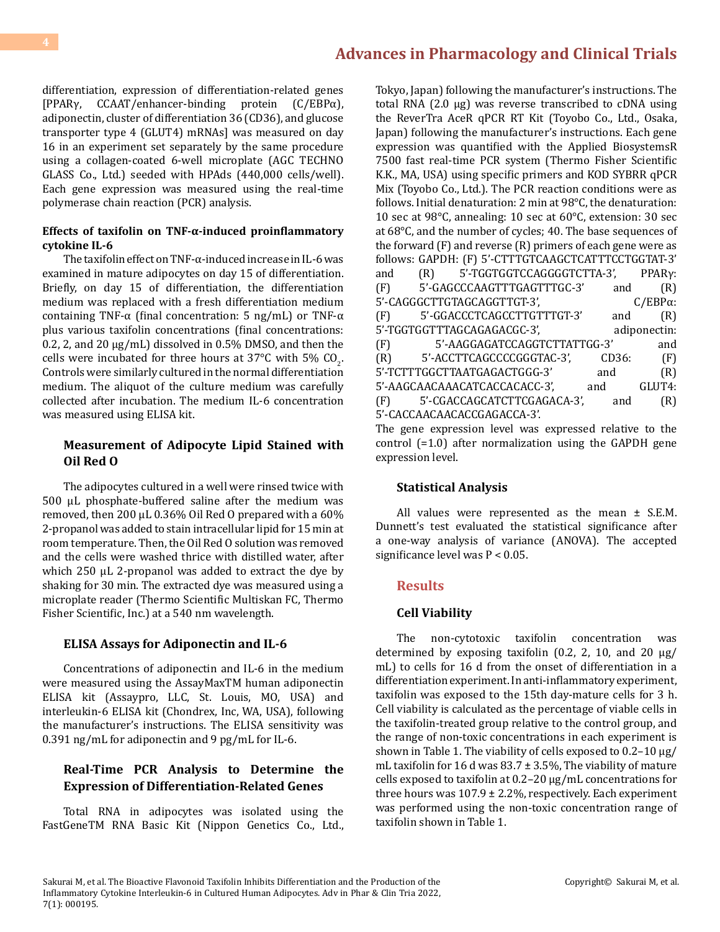differentiation, expression of differentiation-related genes [PPARγ, CCAAT/enhancer-binding protein (C/EBPα), adiponectin, cluster of differentiation 36 (CD36), and glucose transporter type 4 (GLUT4) mRNAs] was measured on day 16 in an experiment set separately by the same procedure using a collagen-coated 6-well microplate (AGC TECHNO GLASS Co., Ltd.) seeded with HPAds (440,000 cells/well). Each gene expression was measured using the real-time polymerase chain reaction (PCR) analysis.

#### **Effects of taxifolin on TNF-α-induced proinflammatory cytokine IL-6**

The taxifolin effect on TNF-α-induced increase in IL-6 was examined in mature adipocytes on day 15 of differentiation. Briefly, on day 15 of differentiation, the differentiation medium was replaced with a fresh differentiation medium containing TNF-α (final concentration: 5 ng/mL) or TNF-α plus various taxifolin concentrations (final concentrations: 0.2, 2, and 20  $\mu$ g/mL) dissolved in 0.5% DMSO, and then the cells were incubated for three hours at  $37^{\circ}$ C with 5% CO<sub>2</sub>. Controls were similarly cultured in the normal differentiation medium. The aliquot of the culture medium was carefully collected after incubation. The medium IL-6 concentration was measured using ELISA kit.

#### **Measurement of Adipocyte Lipid Stained with Oil Red O**

The adipocytes cultured in a well were rinsed twice with 500 μL phosphate-buffered saline after the medium was removed, then 200 μL 0.36% Oil Red O prepared with a 60% 2-propanol was added to stain intracellular lipid for 15 min at room temperature. Then, the Oil Red O solution was removed and the cells were washed thrice with distilled water, after which 250 μL 2-propanol was added to extract the dye by shaking for 30 min. The extracted dye was measured using a microplate reader (Thermo Scientific Multiskan FC, Thermo Fisher Scientific, Inc.) at a 540 nm wavelength.

#### **ELISA Assays for Adiponectin and IL-6**

Concentrations of adiponectin and IL-6 in the medium were measured using the AssayMaxTM human adiponectin ELISA kit (Assaypro, LLC, St. Louis, MO, USA) and interleukin-6 ELISA kit (Chondrex, Inc, WA, USA), following the manufacturer's instructions. The ELISA sensitivity was 0.391 ng/mL for adiponectin and 9 pg/mL for IL-6.

#### **Real-Time PCR Analysis to Determine the Expression of Differentiation-Related Genes**

Total RNA in adipocytes was isolated using the FastGeneTM RNA Basic Kit (Nippon Genetics Co., Ltd.,

Tokyo, Japan) following the manufacturer's instructions. The total RNA (2.0 μg) was reverse transcribed to cDNA using the ReverTra AceR qPCR RT Kit (Toyobo Co., Ltd., Osaka, Japan) following the manufacturer's instructions. Each gene expression was quantified with the Applied BiosystemsR 7500 fast real-time PCR system (Thermo Fisher Scientific K.K., MA, USA) using specific primers and KOD SYBRR qPCR Mix (Toyobo Co., Ltd.). The PCR reaction conditions were as follows. Initial denaturation: 2 min at 98°C, the denaturation: 10 sec at 98°C, annealing: 10 sec at 60°C, extension: 30 sec at 68°C, and the number of cycles; 40. The base sequences of the forward (F) and reverse (R) primers of each gene were as follows: GAPDH: (F) 5'-CTTTGTCAAGCTCATTTCCTGGTAT-3'<br>and (R) 5'-TGGTGGTCCAGGGGTCTTA-3', PPARy: and (R) 5'-TGGTGGTCCAGGGGTCTTA-3', PPARγ:<br>(F) 5'-GAGCCCAAGTTTGAGTTTGC-3' and (R) 5'-GAGCCCAAGTTTGAGTTTGC-3' and (R)<br>GCTTGTAGCAGGTTGT-3', C/EBPα: 5'-CAGGGCTTGTAGCAGGTTGT-3', C/EBPα:<br>(F) 5'-GGACCCTCAGCCTTGTTTGT-3' and (R) 5'-GGACCCTCAGCCTTGTTTGT-3' and (R)<br>GGTTTAGCAGAGACGC-3', adiponectin: 5'-TGGTGGTTTAGCAGAGACGC-3', adiponectin:<br>(F) 5'-AAGGAGATCCAGGTCTTATTGG-3' and (F) 5'-AAGGAGATCCAGGTCTTATTGG-3' and<br>
(R) 5'-ACCTTCAGCCCCGGGTAC-3', CD36: (F) 5'-ACCTTCAGCCCCGGGTAC-3', CD36: (F)<br>'GGCTTAATGAGACTGGG-3' and (R) 5'-TCTTTGGCTTAATGAGACTGGG-3' and (R)<br>5'-AAGCAACAAACATCACCACACC-3', and GLUT4: 5'-AAGCAACAAACATCACCACACC-3', and GLUT4:<br>(F) 5'-CGACCAGCATCTTCGAGACA-3', and (R) 5'-CGACCAGCATCTTCGAGACA-3', 5'-CACCAACAACACCGAGACCA-3'.

The gene expression level was expressed relative to the control (=1.0) after normalization using the GAPDH gene expression level.

#### **Statistical Analysis**

All values were represented as the mean ± S.E.M. Dunnett's test evaluated the statistical significance after a one-way analysis of variance (ANOVA). The accepted significance level was P < 0.05.

#### **Results**

#### **Cell Viability**

The non-cytotoxic taxifolin concentration was determined by exposing taxifolin (0.2, 2, 10, and 20  $\mu$ g/ mL) to cells for 16 d from the onset of differentiation in a differentiation experiment. In anti-inflammatory experiment, taxifolin was exposed to the 15th day-mature cells for 3 h. Cell viability is calculated as the percentage of viable cells in the taxifolin-treated group relative to the control group, and the range of non-toxic concentrations in each experiment is shown in Table 1. The viability of cells exposed to  $0.2-10 \mu g/$ mL taxifolin for 16 d was  $83.7 \pm 3.5$ %, The viability of mature cells exposed to taxifolin at 0.2–20 µg/mL concentrations for three hours was 107.9 ± 2.2%, respectively. Each experiment was performed using the non-toxic concentration range of taxifolin shown in Table 1.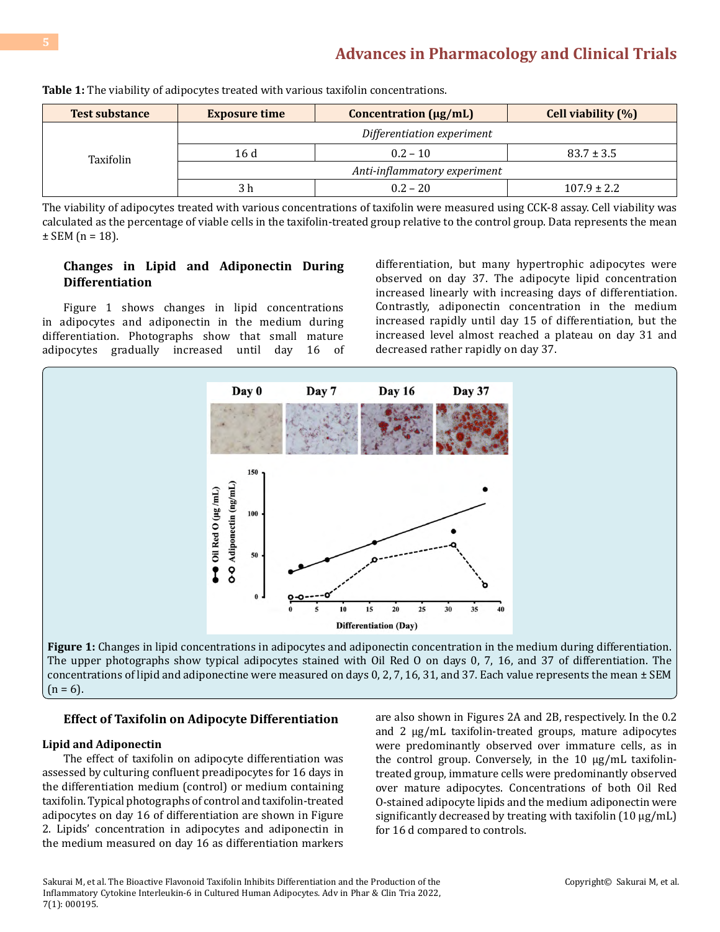| <b>Test substance</b> | <b>Exposure time</b>         | <b>Concentration (µg/mL)</b> | <b>Cell viability (%)</b> |
|-----------------------|------------------------------|------------------------------|---------------------------|
| Taxifolin             | Differentiation experiment   |                              |                           |
|                       | 16 d                         | $0.2 - 10$                   | $83.7 \pm 3.5$            |
|                       | Anti-inflammatory experiment |                              |                           |
|                       | 3 h                          | $0.2 - 20$                   | $107.9 \pm 2.2$           |

**Table 1:** The viability of adipocytes treated with various taxifolin concentrations.

The viability of adipocytes treated with various concentrations of taxifolin were measured using CCK-8 assay. Cell viability was calculated as the percentage of viable cells in the taxifolin-treated group relative to the control group. Data represents the mean  $±$  SEM (n = 18).

#### **Changes in Lipid and Adiponectin During Differentiation**

Figure 1 shows changes in lipid concentrations in adipocytes and adiponectin in the medium during differentiation. Photographs show that small mature<br>adipocytes gradually increased until day 16 of adipocytes gradually increased until day

differentiation, but many hypertrophic adipocytes were observed on day 37. The adipocyte lipid concentration increased linearly with increasing days of differentiation. Contrastly, adiponectin concentration in the medium increased rapidly until day 15 of differentiation, but the increased level almost reached a plateau on day 31 and decreased rather rapidly on day 37.



The upper photographs show typical adipocytes stained with Oil Red O on days 0, 7, 16, and 37 of differentiation. The concentrations of lipid and adiponectine were measured on days 0, 2, 7, 16, 31, and 37. Each value represents the mean  $\pm$  SEM  $(n = 6)$ .

#### **Effect of Taxifolin on Adipocyte Differentiation**

#### **Lipid and Adiponectin**

The effect of taxifolin on adipocyte differentiation was assessed by culturing confluent preadipocytes for 16 days in the differentiation medium (control) or medium containing taxifolin. Typical photographs of control and taxifolin-treated adipocytes on day 16 of differentiation are shown in Figure 2. Lipids' concentration in adipocytes and adiponectin in the medium measured on day 16 as differentiation markers

are also shown in Figures 2A and 2B, respectively. In the 0.2 and 2 µg/mL taxifolin-treated groups, mature adipocytes were predominantly observed over immature cells, as in the control group. Conversely, in the 10 µg/mL taxifolintreated group, immature cells were predominantly observed over mature adipocytes. Concentrations of both Oil Red O-stained adipocyte lipids and the medium adiponectin were significantly decreased by treating with taxifolin  $(10 \mu g/mL)$ for 16 d compared to controls.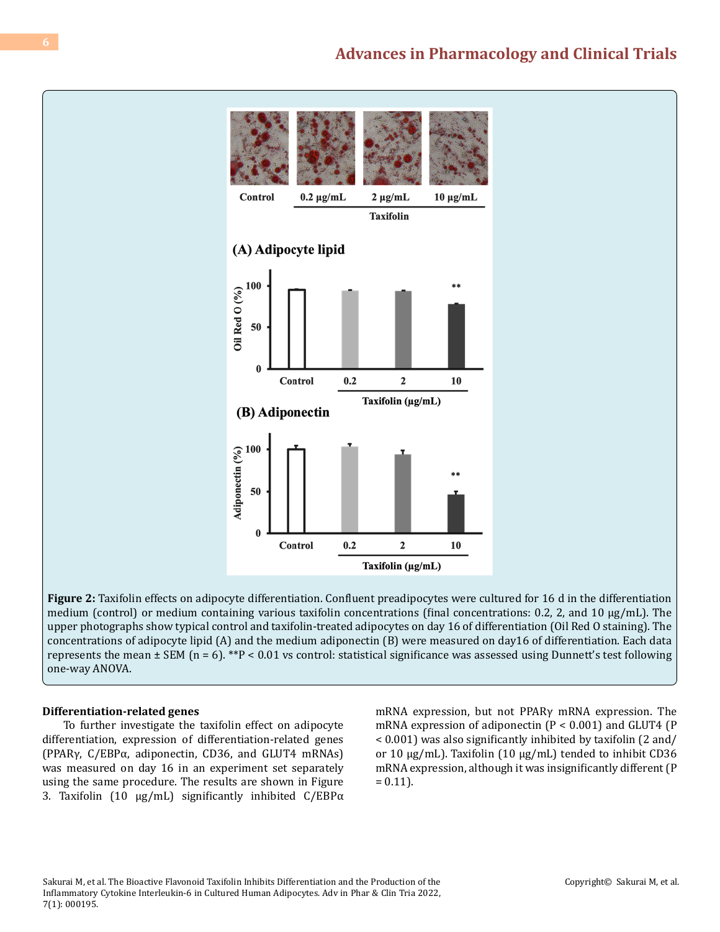

**Figure 2:** Taxifolin effects on adipocyte differentiation. Confluent preadipocytes were cultured for 16 d in the differentiation medium (control) or medium containing various taxifolin concentrations (final concentrations: 0.2, 2, and 10 µg/mL). The upper photographs show typical control and taxifolin-treated adipocytes on day 16 of differentiation (Oil Red O staining). The concentrations of adipocyte lipid (A) and the medium adiponectin (B) were measured on day16 of differentiation. Each data represents the mean  $\pm$  SEM (n = 6). \*\*P < 0.01 vs control: statistical significance was assessed using Dunnett's test following one-way ANOVA.

#### **Differentiation-related genes**

To further investigate the taxifolin effect on adipocyte differentiation, expression of differentiation-related genes (PPARγ, C/EBPα, adiponectin, CD36, and GLUT4 mRNAs) was measured on day 16 in an experiment set separately using the same procedure. The results are shown in Figure 3. Taxifolin (10 µg/mL) significantly inhibited C/EBPα mRNA expression, but not PPARγ mRNA expression. The mRNA expression of adiponectin (P < 0.001) and GLUT4 (P < 0.001) was also significantly inhibited by taxifolin (2 and/ or 10 µg/mL). Taxifolin (10 µg/mL) tended to inhibit CD36 mRNA expression, although it was insignificantly different (P  $= 0.11$ .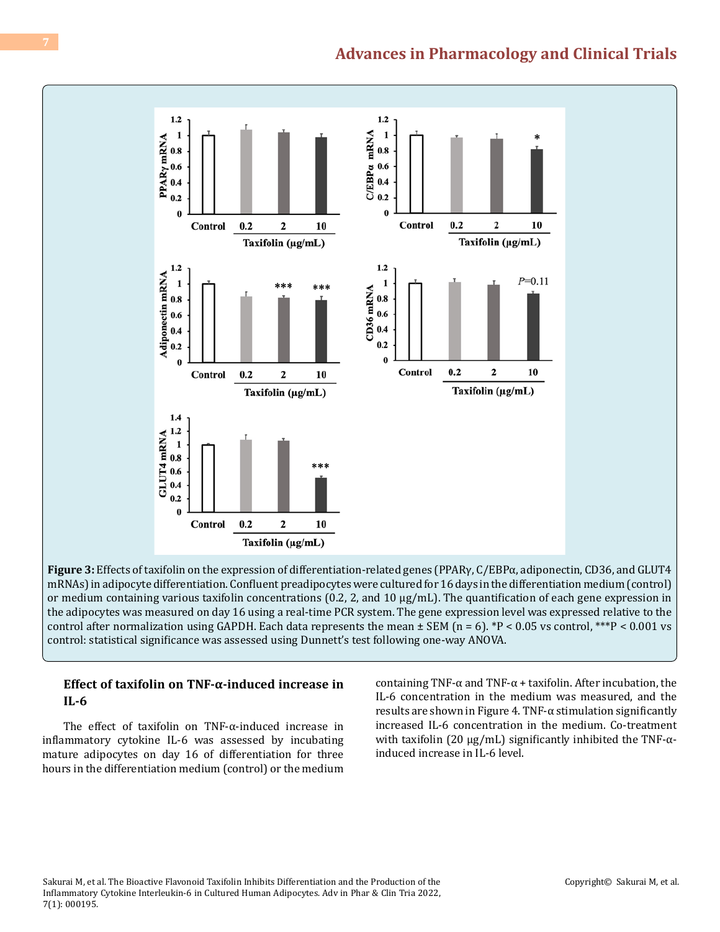

**Figure 3:** Effects of taxifolin on the expression of differentiation-related genes (PPARγ, C/EBPα, adiponectin, CD36, and GLUT4 mRNAs) in adipocyte differentiation. Confluent preadipocytes were cultured for 16 days in the differentiation medium (control) or medium containing various taxifolin concentrations  $(0.2, 2,$  and  $10 \mu g/mL)$ . The quantification of each gene expression in the adipocytes was measured on day 16 using a real-time PCR system. The gene expression level was expressed relative to the control after normalization using GAPDH. Each data represents the mean  $\pm$  SEM (n = 6). \*P < 0.05 vs control, \*\*\*P < 0.001 vs control: statistical significance was assessed using Dunnett's test following one-way ANOVA.

#### **Effect of taxifolin on TNF-α-induced increase in IL-6**

The effect of taxifolin on TNF-α-induced increase in inflammatory cytokine IL-6 was assessed by incubating mature adipocytes on day 16 of differentiation for three hours in the differentiation medium (control) or the medium

containing TNF- $\alpha$  and TNF- $\alpha$  + taxifolin. After incubation, the IL-6 concentration in the medium was measured, and the results are shown in Figure 4. TNF- $\alpha$  stimulation significantly increased IL-6 concentration in the medium. Co-treatment with taxifolin (20  $\mu$ g/mL) significantly inhibited the TNF- $\alpha$ induced increase in IL-6 level.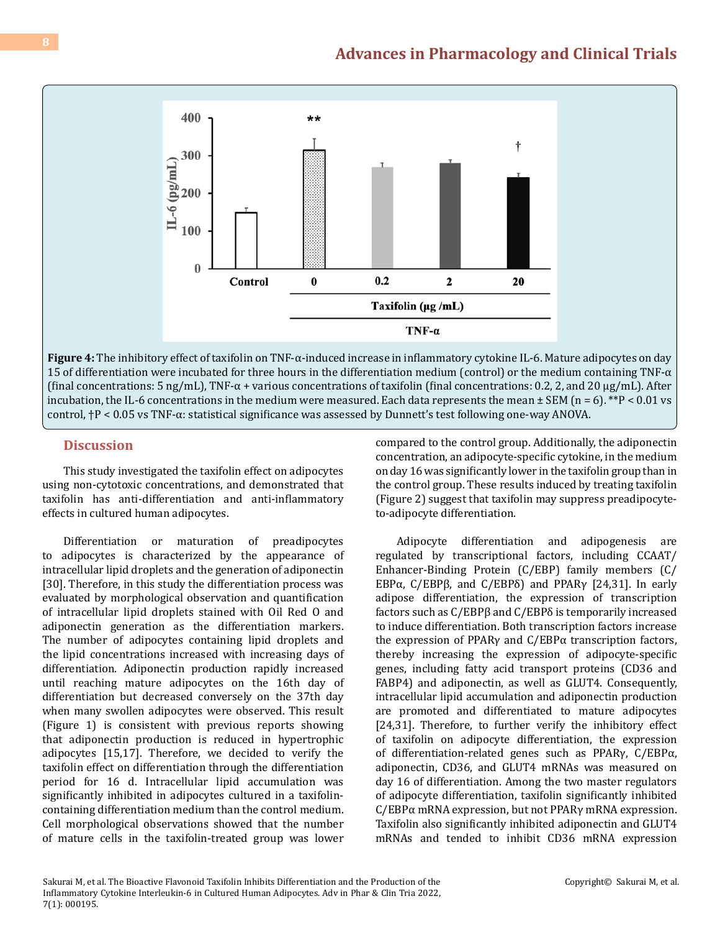

**Figure 4:** The inhibitory effect of taxifolin on TNF-α-induced increase in inflammatory cytokine IL-6. Mature adipocytes on day 15 of differentiation were incubated for three hours in the differentiation medium (control) or the medium containing TNF- $\alpha$ (final concentrations: 5 ng/mL), TNF- $\alpha$  + various concentrations of taxifolin (final concentrations: 0.2, 2, and 20  $\mu$ g/mL). After incubation, the IL-6 concentrations in the medium were measured. Each data represents the mean  $\pm$  SEM (n = 6). \*\*P < 0.01 vs control, †P < 0.05 vs TNF-α: statistical significance was assessed by Dunnett's test following one-way ANOVA.

#### **Discussion**

This study investigated the taxifolin effect on adipocytes using non-cytotoxic concentrations, and demonstrated that taxifolin has anti-differentiation and anti-inflammatory effects in cultured human adipocytes.

Differentiation or maturation of preadipocytes to adipocytes is characterized by the appearance of intracellular lipid droplets and the generation of adiponectin [30]. Therefore, in this study the differentiation process was evaluated by morphological observation and quantification of intracellular lipid droplets stained with Oil Red O and adiponectin generation as the differentiation markers. The number of adipocytes containing lipid droplets and the lipid concentrations increased with increasing days of differentiation. Adiponectin production rapidly increased until reaching mature adipocytes on the 16th day of differentiation but decreased conversely on the 37th day when many swollen adipocytes were observed. This result (Figure 1) is consistent with previous reports showing that adiponectin production is reduced in hypertrophic adipocytes [15,17]. Therefore, we decided to verify the taxifolin effect on differentiation through the differentiation period for 16 d. Intracellular lipid accumulation was significantly inhibited in adipocytes cultured in a taxifolincontaining differentiation medium than the control medium. Cell morphological observations showed that the number of mature cells in the taxifolin-treated group was lower

compared to the control group. Additionally, the adiponectin concentration, an adipocyte-specific cytokine, in the medium on day 16 was significantly lower in the taxifolin group than in the control group. These results induced by treating taxifolin (Figure 2) suggest that taxifolin may suppress preadipocyteto-adipocyte differentiation.

Adipocyte differentiation and adipogenesis are regulated by transcriptional factors, including CCAAT/ Enhancer-Binding Protein (C/EBP) family members (C/ EBPα, C/EBPβ, and C/EBPδ) and PPARγ [24,31]. In early adipose differentiation, the expression of transcription factors such as C/EBPβ and C/EBPδ is temporarily increased to induce differentiation. Both transcription factors increase the expression of PPARγ and C/EBPα transcription factors, thereby increasing the expression of adipocyte-specific genes, including fatty acid transport proteins (CD36 and FABP4) and adiponectin, as well as GLUT4. Consequently, intracellular lipid accumulation and adiponectin production are promoted and differentiated to mature adipocytes [24,31]. Therefore, to further verify the inhibitory effect of taxifolin on adipocyte differentiation, the expression of differentiation-related genes such as PPARγ, C/EBPα, adiponectin, CD36, and GLUT4 mRNAs was measured on day 16 of differentiation. Among the two master regulators of adipocyte differentiation, taxifolin significantly inhibited C/EBPα mRNA expression, but not PPARγ mRNA expression. Taxifolin also significantly inhibited adiponectin and GLUT4 mRNAs and tended to inhibit CD36 mRNA expression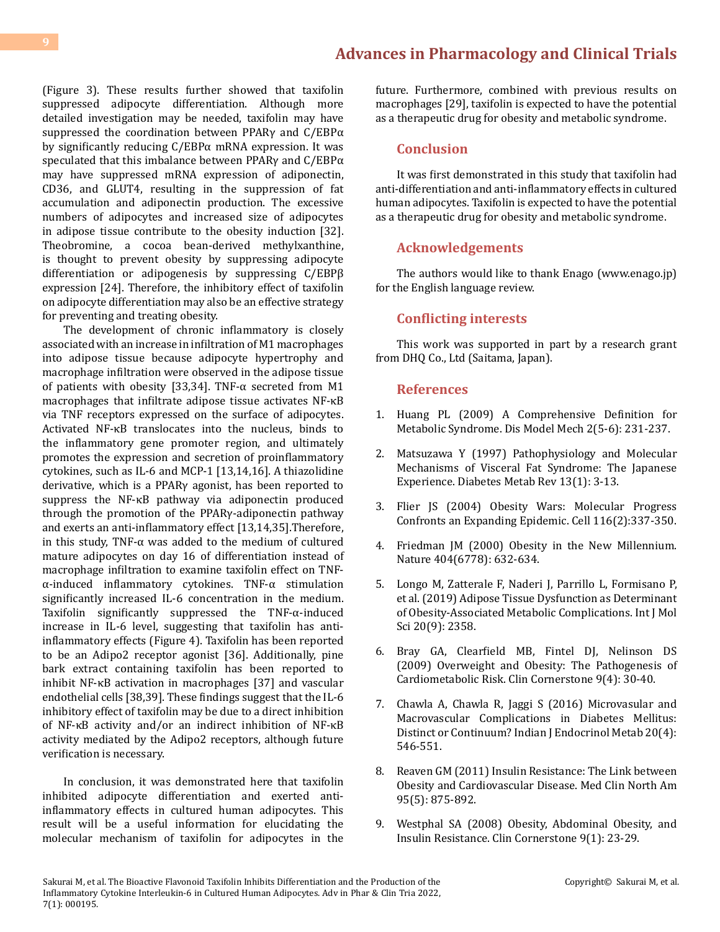(Figure 3). These results further showed that taxifolin suppressed adipocyte differentiation. Although more detailed investigation may be needed, taxifolin may have suppressed the coordination between PPARγ and C/EBPα by significantly reducing C/EBPα mRNA expression. It was speculated that this imbalance between PPARγ and C/EBPα may have suppressed mRNA expression of adiponectin, CD36, and GLUT4, resulting in the suppression of fat accumulation and adiponectin production. The excessive numbers of adipocytes and increased size of adipocytes in adipose tissue contribute to the obesity induction [32]. Theobromine, a cocoa bean-derived methylxanthine, is thought to prevent obesity by suppressing adipocyte differentiation or adipogenesis by suppressing C/EBPβ expression [24]. Therefore, the inhibitory effect of taxifolin on adipocyte differentiation may also be an effective strategy for preventing and treating obesity.

The development of chronic inflammatory is closely associated with an increase in infiltration of M1 macrophages into adipose tissue because adipocyte hypertrophy and macrophage infiltration were observed in the adipose tissue of patients with obesity [33,34]. TNF-α secreted from M1 macrophages that infiltrate adipose tissue activates NF-κB via TNF receptors expressed on the surface of adipocytes. Activated NF-κB translocates into the nucleus, binds to the inflammatory gene promoter region, and ultimately promotes the expression and secretion of proinflammatory cytokines, such as IL-6 and MCP-1 [13,14,16]. A thiazolidine derivative, which is a PPARγ agonist, has been reported to suppress the NF-κB pathway via adiponectin produced through the promotion of the PPARγ-adiponectin pathway and exerts an anti-inflammatory effect [13,14,35].Therefore, in this study, TNF- $\alpha$  was added to the medium of cultured mature adipocytes on day 16 of differentiation instead of macrophage infiltration to examine taxifolin effect on TNFα-induced inflammatory cytokines. TNF-α stimulation significantly increased IL-6 concentration in the medium. Taxifolin significantly suppressed the TNF-α-induced increase in IL-6 level, suggesting that taxifolin has antiinflammatory effects (Figure 4). Taxifolin has been reported to be an Adipo2 receptor agonist [36]. Additionally, pine bark extract containing taxifolin has been reported to inhibit NF-κB activation in macrophages [37] and vascular endothelial cells [38,39]. These findings suggest that the IL-6 inhibitory effect of taxifolin may be due to a direct inhibition of NF-κB activity and/or an indirect inhibition of NF-κB activity mediated by the Adipo2 receptors, although future verification is necessary.

In conclusion, it was demonstrated here that taxifolin inhibited adipocyte differentiation and exerted antiinflammatory effects in cultured human adipocytes. This result will be a useful information for elucidating the molecular mechanism of taxifolin for adipocytes in the

future. Furthermore, combined with previous results on macrophages [29], taxifolin is expected to have the potential as a therapeutic drug for obesity and metabolic syndrome.

#### **Conclusion**

It was first demonstrated in this study that taxifolin had anti-differentiation and anti-inflammatory effects in cultured human adipocytes. Taxifolin is expected to have the potential as a therapeutic drug for obesity and metabolic syndrome.

#### **Acknowledgements**

The authors would like to thank Enago (www.enago.jp) for the English language review.

#### **Conflicting interests**

This work was supported in part by a research grant from DHQ Co., Ltd (Saitama, Japan).

#### **References**

- 1. [Huang PL \(2009\) A Comprehensive Definition for](https://pubmed.ncbi.nlm.nih.gov/19407331/) [Metabolic Syndrome. Dis Model Mech 2\(5-6\): 231-237.](https://pubmed.ncbi.nlm.nih.gov/19407331/)
- 2. [Matsuzawa Y \(1997\) Pathophysiology and Molecular](https://pubmed.ncbi.nlm.nih.gov/9134345/)  [Mechanisms of Visceral Fat Syndrome: The Japanese](https://pubmed.ncbi.nlm.nih.gov/9134345/) [Experience. Diabetes Metab Rev 13\(1\): 3-13.](https://pubmed.ncbi.nlm.nih.gov/9134345/)
- 3. [Flier JS \(2004\) Obesity Wars: Molecular Progress](https://pubmed.ncbi.nlm.nih.gov/14744442/) [Confronts an Expanding Epidemic. Cell 116\(2\):337-350.](https://pubmed.ncbi.nlm.nih.gov/14744442/)
- 4. [Friedman JM \(2000\) Obesity in the New Millennium.](https://pubmed.ncbi.nlm.nih.gov/10766249/)  [Nature 404\(6778\): 632-634.](https://pubmed.ncbi.nlm.nih.gov/10766249/)
- 5. [Longo M, Zatterale F, Naderi J, Parrillo L, Formisano P,](https://pubmed.ncbi.nlm.nih.gov/31085992/) [et al. \(2019\) Adipose Tissue Dysfunction as Determinant](https://pubmed.ncbi.nlm.nih.gov/31085992/) [of Obesity-Associated Metabolic Complications. Int J Mol](https://pubmed.ncbi.nlm.nih.gov/31085992/)  [Sci 20\(9\): 2358.](https://pubmed.ncbi.nlm.nih.gov/31085992/)
- 6. [Bray GA, Clearfield MB, Fintel DJ, Nelinson DS](https://pubmed.ncbi.nlm.nih.gov/19789062/) [\(2009\) Overweight and Obesity: The Pathogenesis of](https://pubmed.ncbi.nlm.nih.gov/19789062/) [Cardiometabolic Risk. Clin Cornerstone 9\(4\): 30-40.](https://pubmed.ncbi.nlm.nih.gov/19789062/)
- 7. [Chawla A, Chawla R, Jaggi S \(2016\) Microvasular and](https://pubmed.ncbi.nlm.nih.gov/27366724/)  [Macrovascular Complications in Diabetes Mellitus:](https://pubmed.ncbi.nlm.nih.gov/27366724/)  [Distinct or Continuum? Indian J Endocrinol Metab 20\(4\):](https://pubmed.ncbi.nlm.nih.gov/27366724/) [546-551.](https://pubmed.ncbi.nlm.nih.gov/27366724/)
- 8. [Reaven GM \(2011\) Insulin Resistance: The Link between](https://pubmed.ncbi.nlm.nih.gov/21855697/) [Obesity and Cardiovascular Disease. Med Clin North Am](https://pubmed.ncbi.nlm.nih.gov/21855697/)  [95\(5\): 875-892.](https://pubmed.ncbi.nlm.nih.gov/21855697/)
- 9. [Westphal SA \(2008\) Obesity, Abdominal Obesity, and](https://pubmed.ncbi.nlm.nih.gov/19046737/)  [Insulin Resistance. Clin Cornerstone 9\(1\): 23-29.](https://pubmed.ncbi.nlm.nih.gov/19046737/)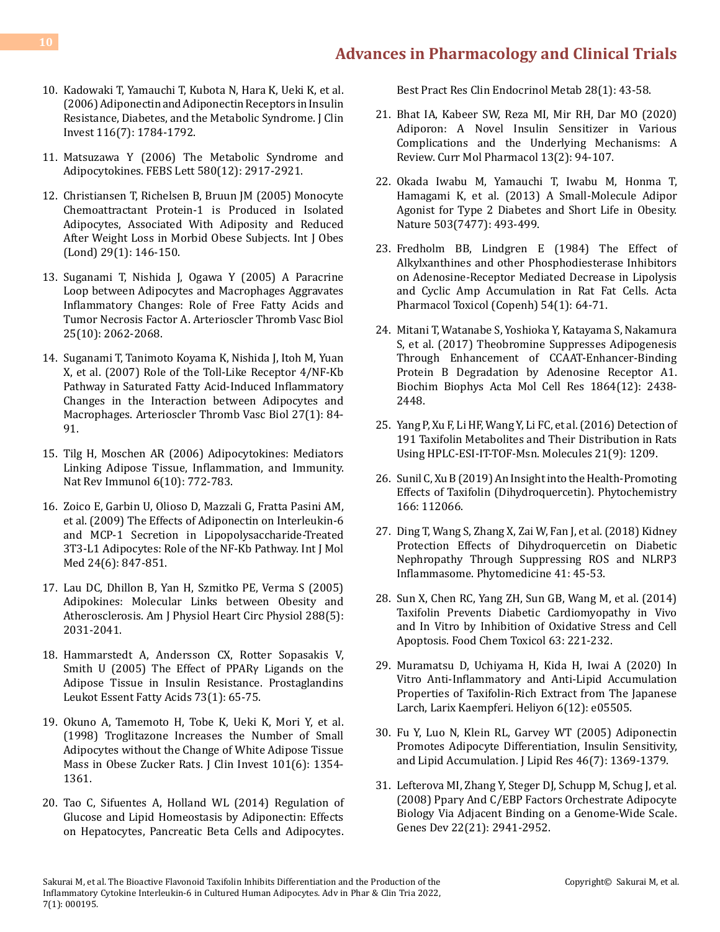- 10. [Kadowaki T, Yamauchi T, Kubota N, Hara K, Ueki K, et al.](https://pubmed.ncbi.nlm.nih.gov/16823476/) [\(2006\) Adiponectin and Adiponectin Receptors in Insulin](https://pubmed.ncbi.nlm.nih.gov/16823476/) [Resistance, Diabetes, and the Metabolic Syndrome. J Clin](https://pubmed.ncbi.nlm.nih.gov/16823476/) [Invest 116\(7\): 1784-1792.](https://pubmed.ncbi.nlm.nih.gov/16823476/)
- 11. [Matsuzawa Y \(2006\) The Metabolic Syndrome and](https://pubmed.ncbi.nlm.nih.gov/16674947/) [Adipocytokines. FEBS Lett 580\(12\): 2917-2921.](https://pubmed.ncbi.nlm.nih.gov/16674947/)
- 12. [Christiansen T, Richelsen B, Bruun JM \(2005\) Monocyte](https://pubmed.ncbi.nlm.nih.gov/15520826/) [Chemoattractant Protein-1 is Produced in Isolated](https://pubmed.ncbi.nlm.nih.gov/15520826/) [Adipocytes, Associated With Adiposity and Reduced](https://pubmed.ncbi.nlm.nih.gov/15520826/) [After Weight Loss in Morbid Obese Subjects. Int J Obes](https://pubmed.ncbi.nlm.nih.gov/15520826/) [\(Lond\) 29\(1\): 146-150.](https://pubmed.ncbi.nlm.nih.gov/15520826/)
- 13. [Suganami T, Nishida J, Ogawa Y \(2005\) A Paracrine](https://pubmed.ncbi.nlm.nih.gov/16123319/) [Loop between Adipocytes and Macrophages Aggravates](https://pubmed.ncbi.nlm.nih.gov/16123319/) [Inflammatory Changes: Role of Free Fatty Acids and](https://pubmed.ncbi.nlm.nih.gov/16123319/) [Tumor Necrosis Factor Α. Arterioscler Thromb Vasc Biol](https://pubmed.ncbi.nlm.nih.gov/16123319/) [25\(10\): 2062-2068.](https://pubmed.ncbi.nlm.nih.gov/16123319/)
- 14. [Suganami T, Tanimoto Koyama K, Nishida J, Itoh M, Yuan](https://pubmed.ncbi.nlm.nih.gov/17082484/) [X, et al. \(2007\) Role of the Toll-Like Receptor 4/NF-Κb](https://pubmed.ncbi.nlm.nih.gov/17082484/) [Pathway in Saturated Fatty Acid-Induced Inflammatory](https://pubmed.ncbi.nlm.nih.gov/17082484/) [Changes in the Interaction between Adipocytes and](https://pubmed.ncbi.nlm.nih.gov/17082484/) [Macrophages. Arterioscler Thromb Vasc Biol 27\(1\): 84-](https://pubmed.ncbi.nlm.nih.gov/17082484/) [91.](https://pubmed.ncbi.nlm.nih.gov/17082484/)
- 15. [Tilg H, Moschen AR \(2006\) Adipocytokines: Mediators](https://www.nature.com/articles/nri1937) [Linking Adipose Tissue, Inflammation, and Immunity.](https://www.nature.com/articles/nri1937) [Nat Rev Immunol 6\(10\): 772-783.](https://www.nature.com/articles/nri1937)
- 16. [Zoico E, Garbin U, Olioso D, Mazzali G, Fratta Pasini AM,](https://pubmed.ncbi.nlm.nih.gov/19885628/) [et al. \(2009\) The Effects of Adiponectin on Interleukin-6](https://pubmed.ncbi.nlm.nih.gov/19885628/) [and MCP-1 Secretion in Lipopolysaccharide-Treated](https://pubmed.ncbi.nlm.nih.gov/19885628/) [3T3-L1 Adipocytes: Role of the NF-Κb Pathway. Int J Mol](https://pubmed.ncbi.nlm.nih.gov/19885628/) [Med 24\(6\): 847-851.](https://pubmed.ncbi.nlm.nih.gov/19885628/)
- 17. [Lau DC, Dhillon B, Yan H, Szmitko PE, Verma S \(2005\)](https://pubmed.ncbi.nlm.nih.gov/15653761/) [Adipokines: Molecular Links between Obesity and](https://pubmed.ncbi.nlm.nih.gov/15653761/) [Atherosclerosis. Am J Physiol Heart Circ Physiol 288\(5\):](https://pubmed.ncbi.nlm.nih.gov/15653761/) [2031-2041.](https://pubmed.ncbi.nlm.nih.gov/15653761/)
- 18. [Hammarstedt A, Andersson CX, Rotter Sopasakis V,](https://pubmed.ncbi.nlm.nih.gov/15936183/) [Smith U \(2005\) The Effect of PPARγ Ligands on the](https://pubmed.ncbi.nlm.nih.gov/15936183/) [Adipose Tissue in Insulin Resistance. Prostaglandins](https://pubmed.ncbi.nlm.nih.gov/15936183/) [Leukot Essent Fatty Acids 73\(1\): 65-75.](https://pubmed.ncbi.nlm.nih.gov/15936183/)
- 19. [Okuno A, Tamemoto H, Tobe K, Ueki K, Mori Y, et al.](https://pubmed.ncbi.nlm.nih.gov/9502777/) [\(1998\) Troglitazone Increases the Number of Small](https://pubmed.ncbi.nlm.nih.gov/9502777/) [Adipocytes without the Change of White Adipose Tissue](https://pubmed.ncbi.nlm.nih.gov/9502777/) [Mass in Obese Zucker Rats. J Clin Invest 101\(6\): 1354-](https://pubmed.ncbi.nlm.nih.gov/9502777/) [1361.](https://pubmed.ncbi.nlm.nih.gov/9502777/)
- 20. [Tao C, Sifuentes A, Holland WL \(2014\) Regulation of](https://pubmed.ncbi.nlm.nih.gov/24417945/) [Glucose and Lipid Homeostasis by Adiponectin: Effects](https://pubmed.ncbi.nlm.nih.gov/24417945/) [on Hepatocytes, Pancreatic Beta Cells and Adipocytes.](https://pubmed.ncbi.nlm.nih.gov/24417945/)

[Best Pract Res Clin Endocrinol Metab 28\(1\): 43-58.](https://pubmed.ncbi.nlm.nih.gov/24417945/)

- 21. [Bhat IA, Kabeer SW, Reza MI, Mir RH, Dar MO \(2020\)](https://pubmed.ncbi.nlm.nih.gov/31642417/) [Adiporon: A Novel Insulin Sensitizer in Various](https://pubmed.ncbi.nlm.nih.gov/31642417/) [Complications and the Underlying Mechanisms: A](https://pubmed.ncbi.nlm.nih.gov/31642417/) [Review. Curr Mol Pharmacol 13\(2\): 94-107.](https://pubmed.ncbi.nlm.nih.gov/31642417/)
- 22. [Okada Iwabu M, Yamauchi T, Iwabu M, Honma T,](https://pubmed.ncbi.nlm.nih.gov/24172895/)  [Hamagami K, et al. \(2013\) A Small-Molecule Adipor](https://pubmed.ncbi.nlm.nih.gov/24172895/) [Agonist for Type 2 Diabetes and Short Life in Obesity.](https://pubmed.ncbi.nlm.nih.gov/24172895/)  [Nature 503\(7477\): 493-499.](https://pubmed.ncbi.nlm.nih.gov/24172895/)
- 23. [Fredholm BB, Lindgren E \(1984\) The Effect of](https://pubmed.ncbi.nlm.nih.gov/6322517/) [Alkylxanthines and other Phosphodiesterase Inhibitors](https://pubmed.ncbi.nlm.nih.gov/6322517/) [on Adenosine-Receptor Mediated Decrease in Lipolysis](https://pubmed.ncbi.nlm.nih.gov/6322517/) [and Cyclic Amp Accumulation in Rat Fat Cells. Acta](https://pubmed.ncbi.nlm.nih.gov/6322517/)  [Pharmacol Toxicol \(Copenh\) 54\(1\): 64-71.](https://pubmed.ncbi.nlm.nih.gov/6322517/)
- 24. [Mitani T, Watanabe S, Yoshioka Y, Katayama S, Nakamura](https://pubmed.ncbi.nlm.nih.gov/28965824/)  [S, et al. \(2017\) Theobromine Suppresses Adipogenesis](https://pubmed.ncbi.nlm.nih.gov/28965824/) [Through Enhancement of CCAAT-Enhancer-Binding](https://pubmed.ncbi.nlm.nih.gov/28965824/)  [Protein Β Degradation by Adenosine Receptor A1.](https://pubmed.ncbi.nlm.nih.gov/28965824/) [Biochim Biophys Acta Mol Cell Res 1864\(12\): 2438-](https://pubmed.ncbi.nlm.nih.gov/28965824/) [2448.](https://pubmed.ncbi.nlm.nih.gov/28965824/)
- 25. [Yang P, Xu F, Li HF, Wang Y, Li FC, et al. \(2016\) Detection of](https://www.ncbi.nlm.nih.gov/labs/pmc/articles/PMC6273498/)  [191 Taxifolin Metabolites and Their Distribution in Rats](https://www.ncbi.nlm.nih.gov/labs/pmc/articles/PMC6273498/)  [Using HPLC-ESI-IT-TOF-Msn. Molecules 21\(9\): 1209.](https://www.ncbi.nlm.nih.gov/labs/pmc/articles/PMC6273498/)
- 26. [Sunil C, Xu B \(2019\) An Insight into the Health-Promoting](https://pubmed.ncbi.nlm.nih.gov/31325613/)  [Effects of Taxifolin \(Dihydroquercetin\). Phytochemistry](https://pubmed.ncbi.nlm.nih.gov/31325613/) [166: 112066.](https://pubmed.ncbi.nlm.nih.gov/31325613/)
- 27. [Ding T, Wang S, Zhang X, Zai W, Fan J, et al. \(2018\) Kidney](https://pubmed.ncbi.nlm.nih.gov/29519318/)  [Protection Effects of Dihydroquercetin on Diabetic](https://pubmed.ncbi.nlm.nih.gov/29519318/)  [Nephropathy Through Suppressing ROS and NLRP3](https://pubmed.ncbi.nlm.nih.gov/29519318/) [Inflammasome. Phytomedicine 41: 45-53.](https://pubmed.ncbi.nlm.nih.gov/29519318/)
- 28. [Sun X, Chen RC, Yang ZH, Sun GB, Wang M, et al. \(2014\)](https://pubmed.ncbi.nlm.nih.gov/24269735/) [Taxifolin Prevents Diabetic Cardiomyopathy in Vivo](https://pubmed.ncbi.nlm.nih.gov/24269735/)  [and In Vitro by Inhibition of Oxidative Stress and Cell](https://pubmed.ncbi.nlm.nih.gov/24269735/)  [Apoptosis. Food Chem Toxicol 63: 221-232.](https://pubmed.ncbi.nlm.nih.gov/24269735/)
- 29. [Muramatsu D, Uchiyama H, Kida H, Iwai A \(2020\) In](https://pubmed.ncbi.nlm.nih.gov/33336091/)  [Vitro Anti-Inflammatory and Anti-Lipid Accumulation](https://pubmed.ncbi.nlm.nih.gov/33336091/)  [Properties of Taxifolin-Rich Extract from The Japanese](https://pubmed.ncbi.nlm.nih.gov/33336091/) [Larch, Larix Kaempferi. Heliyon 6\(12\): e05505.](https://pubmed.ncbi.nlm.nih.gov/33336091/)
- 30. [Fu Y, Luo N, Klein RL, Garvey WT \(2005\) Adiponectin](https://pubmed.ncbi.nlm.nih.gov/15834118/) [Promotes Adipocyte Differentiation, Insulin Sensitivity,](https://pubmed.ncbi.nlm.nih.gov/15834118/)  [and Lipid Accumulation. J Lipid Res 46\(7\): 1369-1379.](https://pubmed.ncbi.nlm.nih.gov/15834118/)
- 31. [Lefterova MI, Zhang Y, Steger DJ, Schupp M, Schug J, et al.](https://pubmed.ncbi.nlm.nih.gov/18981473/)  [\(2008\) Pparγ And C/EBP Factors Orchestrate Adipocyte](https://pubmed.ncbi.nlm.nih.gov/18981473/) [Biology Via Adjacent Binding on a Genome-Wide Scale.](https://pubmed.ncbi.nlm.nih.gov/18981473/)  [Genes Dev 22\(21\): 2941-2952.](https://pubmed.ncbi.nlm.nih.gov/18981473/)